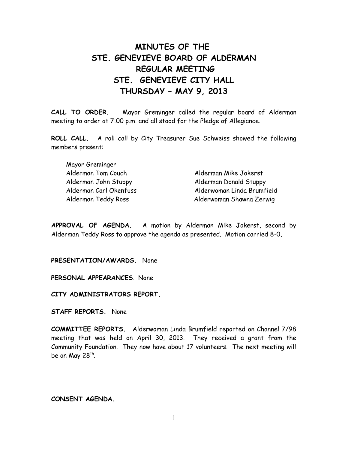# **MINUTES OF THE STE. GENEVIEVE BOARD OF ALDERMAN REGULAR MEETING STE. GENEVIEVE CITY HALL THURSDAY – MAY 9, 2013**

**CALL TO ORDER.** Mayor Greminger called the regular board of Alderman meeting to order at 7:00 p.m. and all stood for the Pledge of Allegiance.

**ROLL CALL.** A roll call by City Treasurer Sue Schweiss showed the following members present:

| Alderman Mike Jokerst      |
|----------------------------|
| Alderman Donald Stuppy     |
| Alderwoman Linda Brumfield |
| Alderwoman Shawna Zerwig   |
|                            |

**APPROVAL OF AGENDA.** A motion by Alderman Mike Jokerst, second by Alderman Teddy Ross to approve the agenda as presented. Motion carried 8-0.

**PRESENTATION/AWARDS.** None

**PERSONAL APPEARANCES**. None

**CITY ADMINISTRATORS REPORT.** 

**STAFF REPORTS.** None

**COMMITTEE REPORTS.** Alderwoman Linda Brumfield reported on Channel 7/98 meeting that was held on April 30, 2013. They received a grant from the Community Foundation. They now have about 17 volunteers. The next meeting will be on May 28<sup>th</sup>.

**CONSENT AGENDA.**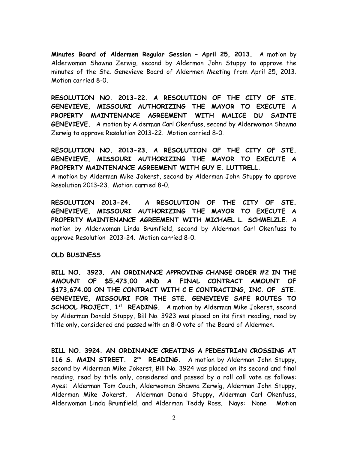**Minutes Board of Aldermen Regular Session – April 25, 2013.** A motion by Alderwoman Shawna Zerwig, second by Alderman John Stuppy to approve the minutes of the Ste. Genevieve Board of Aldermen Meeting from April 25, 2013. Motion carried 8-0.

**RESOLUTION NO. 2013-22. A RESOLUTION OF THE CITY OF STE. GENEVIEVE, MISSOURI AUTHORIZING THE MAYOR TO EXECUTE A PROPERTY MAINTENANCE AGREEMENT WITH MALICE DU SAINTE GENEVIEVE.** A motion by Alderman Carl Okenfuss, second by Alderwoman Shawna Zerwig to approve Resolution 2013-22. Motion carried 8-0.

**RESOLUTION NO. 2013-23. A RESOLUTION OF THE CITY OF STE. GENEVIEVE, MISSOURI AUTHORIZING THE MAYOR TO EXECUTE A PROPERTY MAINTENANCE AGREEMENT WITH GUY E. LUTTRELL.**  A motion by Alderman Mike Jokerst, second by Alderman John Stuppy to approve Resolution 2013-23. Motion carried 8-0.

**RESOLUTION 2013-24. A RESOLUTION OF THE CITY OF STE. GENEVIEVE, MISSOURI AUTHORIZING THE MAYOR TO EXECUTE A PROPERTY MAINTENANCE AGREEMENT WITH MICHAEL L. SCHMELZLE.** A motion by Alderwoman Linda Brumfield, second by Alderman Carl Okenfuss to approve Resolution 2013-24. Motion carried 8-0.

### **OLD BUSINESS**

**BILL NO. 3923. AN ORDINANCE APPROVING CHANGE ORDER #2 IN THE AMOUNT OF \$5,473.00 AND A FINAL CONTRACT AMOUNT OF \$173,674.00 ON THE CONTRACT WITH C E CONTRACTING, INC. OF STE. GENEVIEVE, MISSOURI FOR THE STE. GENEVIEVE SAFE ROUTES TO SCHOOL PROJECT. 1st READING.** A motion by Alderman Mike Jokerst, second by Alderman Donald Stuppy, Bill No. 3923 was placed on its first reading, read by title only, considered and passed with an 8-0 vote of the Board of Aldermen.

**BILL NO. 3924. AN ORDINANCE CREATING A PEDESTRIAN CROSSING AT 116 S. MAIN STREET. 2nd READING.** A motion by Alderman John Stuppy, second by Alderman Mike Jokerst, Bill No. 3924 was placed on its second and final reading, read by title only, considered and passed by a roll call vote as follows: Ayes: Alderman Tom Couch, Alderwoman Shawna Zerwig, Alderman John Stuppy, Alderman Mike Jokerst, Alderman Donald Stuppy, Alderman Carl Okenfuss, Alderwoman Linda Brumfield, and Alderman Teddy Ross. Nays: None Motion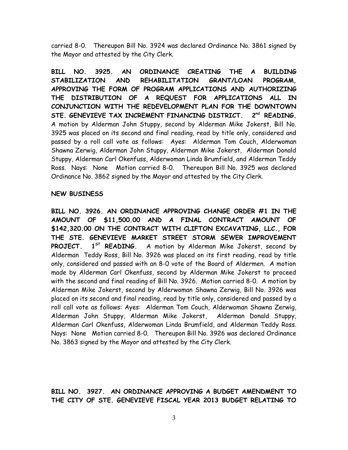carried 8-0. Thereupon Bill No. 3924 was declared Ordinance No. 3861 signed by the Mayor and attested by the City Clerk.

**BILL NO. 3925. AN ORDINANCE CREATING THE A BUILDING STABILIZATION AND REHABILITATION GRANT/LOAN PROGRAM, APPROVING THE FORM OF PROGRAM APPLICATIONS AND AUTHORIZING THE DISTRIBUTION OF A REQUEST FOR APPLICATIONS ALL IN CONJUNCTION WITH THE REDEVELOPMENT PLAN FOR THE DOWNTOWN STE. GENEVIEVE TAX INCREMENT FINANCING DISTRICT. 2 nd READING.** A motion by Alderman John Stuppy, second by Alderman Mike Jokerst, Bill No. 3925 was placed on its second and final reading, read by title only, considered and passed by a roll call vote as follows: Ayes: Alderman Tom Couch, Alderwoman Shawna Zerwig, Alderman John Stuppy, Alderman Mike Jokerst, Alderman Donald Stuppy, Alderman Carl Okenfuss, Alderwoman Linda Brumfield, and Alderman Teddy Ross. Nays: None Motion carried 8-0. Thereupon Bill No. 3925 was declared Ordinance No. 3862 signed by the Mayor and attested by the City Clerk.

#### **NEW BUSINESS**

**BILL NO. 3926. AN ORDINANCE APPROVING CHANGE ORDER #1 IN THE AMOUNT OF \$11,500.00 AND A FINAL CONTRACT AMOUNT OF \$142,320.00 ON THE CONTRACT WITH CLIFTON EXCAVATING, LLC., FOR THE STE. GENEVIEVE MARKET STREET STORM SEWER IMPROVEMENT PROJECT. 1ST READING.** A motion by Alderman Mike Jokerst, second by Alderman Teddy Ross, Bill No. 3926 was placed on its first reading, read by title only, considered and passed with an 8-0 vote of the Board of Aldermen. A motion made by Alderman Carl Okenfuss, second by Alderman Mike Jokerst to proceed with the second and final reading of Bill No. 3926. Motion carried 8-0. A motion by Alderman Mike Jokerst, second by Alderwoman Shawna Zerwig, Bill No. 3926 was placed on its second and final reading, read by title only, considered and passed by a roll call vote as follows: Ayes: Alderman Tom Couch, Alderwoman Shawna Zerwig, Alderman John Stuppy, Alderman Mike Jokerst, Alderman Donald Stuppy, Alderman Carl Okenfuss, Alderwoman Linda Brumfield, and Alderman Teddy Ross. Nays: None Motion carried 8-0. Thereupon Bill No. 3926 was declared Ordinance No. 3863 signed by the Mayor and attested by the City Clerk.

**BILL NO. 3927. AN ORDINANCE APPROVING A BUDGET AMENDMENT TO THE CITY OF STE. GENEVIEVE FISCAL YEAR 2013 BUDGET RELATING TO**